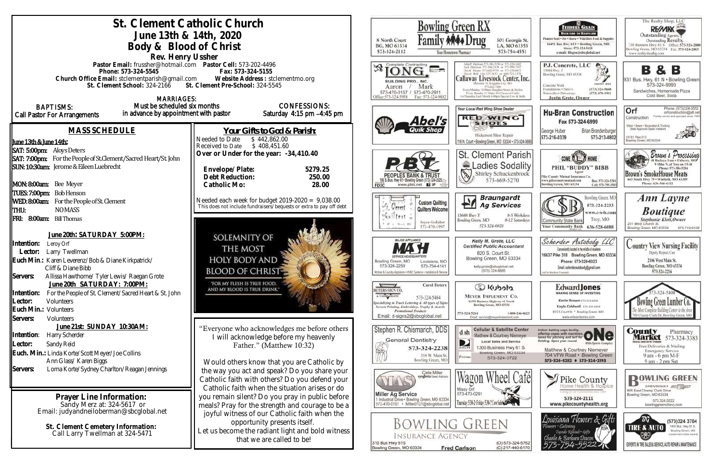| St. Clement Catholic Church<br>June 13th & 14th, 2020<br>Body & Blood of Christ<br>Rev. Henry Ussher                                                                                                                           | <b>Bowling Green RX</b><br>301 Georgia St<br>8 North Court<br>LA, MO 63353<br>BG, MO 63334<br>573-754-4551<br>573-324-2112<br>Your Hometown Pharmacy                                                                                                    |                                                                                                                                                                                                                                                                                                                                                                                                                     |
|--------------------------------------------------------------------------------------------------------------------------------------------------------------------------------------------------------------------------------|---------------------------------------------------------------------------------------------------------------------------------------------------------------------------------------------------------------------------------------------------------|---------------------------------------------------------------------------------------------------------------------------------------------------------------------------------------------------------------------------------------------------------------------------------------------------------------------------------------------------------------------------------------------------------------------|
| Pastor Email: frussher@hotmail.com    Pastor Cell: 573-202-4496<br>Phone: 573-324-5545<br>Church Office Email: stclementparish@gmail.com<br>St. Clement School: 324-2166 St. Clement Pre-School: 324-5545<br><b>MARRIAGES:</b> | Fax: 573-324-5155<br>Website Address: stclementmo.org                                                                                                                                                                                                   | <b>AIOL</b><br>$\nu \rightarrow$<br>Callaway Livestock Center, In<br>BUILDING PRO., INC.<br>Mark<br>Aaron<br>Every Monday 10:00am Staughter Steers & Heilen<br>573-470-0157 / 573-470-2911<br>Every Monday 12: Muts All Classes of Cattle<br>ist Thursday Each Month 6:00pm Special Cow & Bull<br>Office:573-324-5958<br>Fax: 573-324-9802                                                                          |
| Must be scheduled six months<br><b>BAPTISMS:</b><br>in advance by appointment with pastor<br>Call Pastor For Arrangements                                                                                                      | <b>CONFESSIONS:</b><br>Saturday 4:15 pm -4:45 pm                                                                                                                                                                                                        | Your Local Red Wing Shoe Dealer<br><b>RED WING</b><br>bel's<br><b>SHOES</b>                                                                                                                                                                                                                                                                                                                                         |
| <b>MASS SCHEDULE</b><br>June 13th & June 14th:<br>SAT: 5:00pm: Aloys Deters                                                                                                                                                    | Your Gifts to God & Parish:<br>Needed to Date<br>\$442,862.00<br>Received to Date<br>\$408,451.60<br>Over or Under for the year: -34,410.40                                                                                                             | Hickerson Shoe Repair<br>116 N. Court . Bowling Green, MO 63334 . 573-324-3<br><b>St. Clement Paris</b>                                                                                                                                                                                                                                                                                                             |
| SAT: 7:00pm: For the People of St.Clement/Sacred Heart/St. John<br>SUN: 10:30am: Jerome & Eileen Luebrecht<br>MON: 8:00am: Bee Meyer                                                                                           | 5279.25<br>Envelope/Plate:<br>Debt Reduction:<br>250.00<br>28.00<br>Catholic Mo:                                                                                                                                                                        | Ladies Sodalit<br>Shirley Schuckenbroc<br>573-669-5270<br>06 S. Bus. Hwy 61 + Bowling Green (573) 324-2525. $\gtrsim$<br>www.pbtc.net <b>H</b><br>FDIC                                                                                                                                                                                                                                                              |
| TUES: 7:00pm: Bob Henson<br>WED: 8:00am: For the People of St. Clement<br>THU:<br><b>NOMASS</b><br>FRI: 8:00am: Bill Thomas                                                                                                    | Needed each week for budget $2019-2020 = 9,038.00$<br>This does not include fundraisers/bequests or extra to pay off debt                                                                                                                               | <b>Braungardt</b><br>PЧ<br><b>Custom Quilting</b><br><b>Ag Services</b><br>र्ण.<br>. Gerent<br>Quilters Welcome<br>13688 Huy Y<br>8-5 Weekda<br>Guiters a<br>8-12 Saturda<br>Bowling Green, MO<br>Joyce Gollaher<br>573-324-6820<br>573-470-1997                                                                                                                                                                    |
| June 20th: SATURDAY 5:00PM:<br>Intention:<br>Leroy Orf<br>Lector:<br>Larry Twellman<br>Euch Min.: Karen Leverenz/Bob & Diane Kirkpatrick/<br>Cliff & Diane Bibb<br>Servers:<br>Allissa Hawthorne/ Tyler Lewis/ Raegan Grote    | SOLEMNITY OF<br>THE MOST<br><b>HOLY BODY AND</b><br><b>BLOOD OF CHRIST-</b>                                                                                                                                                                             | <b>MAJOR APPLIANCE</b><br>Kelly M. Grote, LLC<br><b>Certified Public Accountant</b><br>820 S. Court St.<br>Bowling Green, MO 63334<br>Bowling Green, MO<br>Louisiana, MO<br>573-324-2259<br>573-754-4141<br>kelly.grote@sbcglobal.net<br>(573) 324-9885<br>Kitchen & Laundry Appliance + HVAC Systems + Installation & Service                                                                                      |
| June 20th SATURDAY: 7:00PM:<br>Intention:<br>For the People of St. Clement/Sacred Heart & St. John<br>Lector:<br><b>Volunteers</b><br>Euch Min.: Volunteers<br>Servers:<br>Volunteers                                          | "FOR MY FLESH IS TRUE FOOD.<br>AND MY BLOOD IS TRUE DRINK."                                                                                                                                                                                             | <b>Carol Deters</b><br>Colcotuy Co<br>DETERS SIGN CO<br>A T-SHIRT SHOPPE<br>MEYER IMPLEMENT CO.<br>573-324-5484<br>16398 Business Highway 61 North<br>specializing in Truck Lettering & All types of Signs<br>Bowling Green, MO 63334<br>Screen Printing, Embroidery, Trophy & Awards<br>Promotional Products<br>573-324-5261<br>1-800-246-06<br>Email: d-signs2@sbcglobal.net<br>Email: service@meyerimplement.com |
| June 21st: SUNDAY 10:30AM:<br>Intention:<br>Harry Scherder<br>Sandy Reid<br>Lector:<br>Euch. Min.: Linda Korte/Scott Meyer/Joe Collins<br>Ann Glass/ Karen Biggs                                                               | "Everyone who acknowledges me before others<br>I will acknowledge before my heavenly<br>Father." (Matthew 10:32)<br>Would others know that you are Catholic by                                                                                          | Stephen R. Chismarich, DDS<br><b>Cellular &amp; Satellite Cente</b><br>d sh<br>Matthew & Courtney Niemeyer<br><b>General Dentistry</b><br>D<br><b>Local Sales and Service</b><br>1300 Business Hwy 61 S<br>573-324-2238<br><b>BIRECTY</b><br>Bowling Green, MO 63334<br>310 W. Main St.<br><b>PUIDBE</b><br>573-324-3722<br>Bowling Green, MO                                                                       |
| Servers:<br>Lorna Korte/Sydney Charlton/Reagan Jennings<br>Prayer Line Information:<br>Sandy Merz at: 324-5617 or                                                                                                              | the way you act and speak? Do you share your<br>Catholic faith with others? Do you defend your<br>Catholic faith when the situation arises or do<br>you remain silent? Do you pray in public before<br>meals? Pray for the strength and courage to be a | Clete Miller<br>syngenta Seed Advisor<br>Cat<br>Missy Orf<br>573-470-0291<br><b>Miller Ag Service</b><br>1 Industrial Drive . Bowling Green, MO 63334<br>Thursday 5:34-2: Friday 5:34-7 Cow SubSection<br>573-470-0101 · Miller0121@sbcglobal.net                                                                                                                                                                   |
| Email: judyandneiloberman@sbcglobal.net<br>St. Clement Cemetery Information:<br>Call Larry Twellman at 324-5471                                                                                                                | joyful witness of our Catholic faith when the<br>opportunity presents itself.<br>Let us become the radiant light and bold witness<br>that we are called to be!                                                                                          | <b>BOWLING GREEN</b><br>Insurance Agency<br>(O) 573-324-576<br>310 Bus Hwy 61S<br>(C) 217-440-617<br>Bowling Green, MO 63334<br><b>Fred Carlson</b>                                                                                                                                                                                                                                                                 |